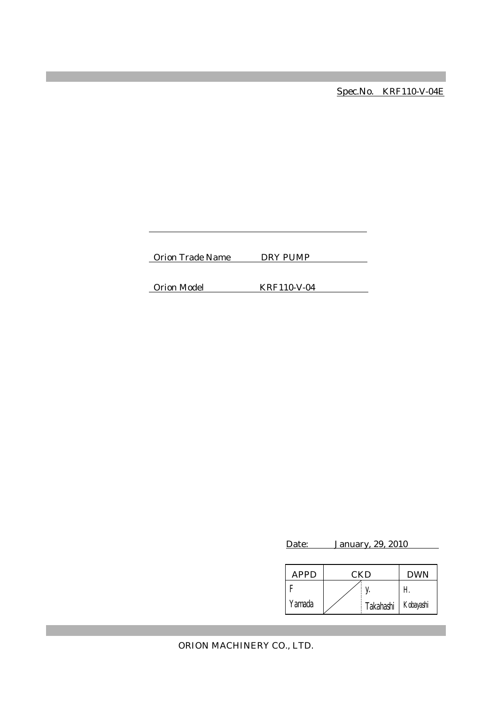Spec.No. KRF110-V-04E

Orion Trade Name DRY PUMP

Orion Model KRF110-V-04

Date: January, 29, 2010

| <b>APPD</b> | CKD |             | <b>DWN</b> |
|-------------|-----|-------------|------------|
|             |     |             | Н          |
| Yamada      |     | Takahashi I | Kobayashi  |

ORION MACHINERY CO., LTD.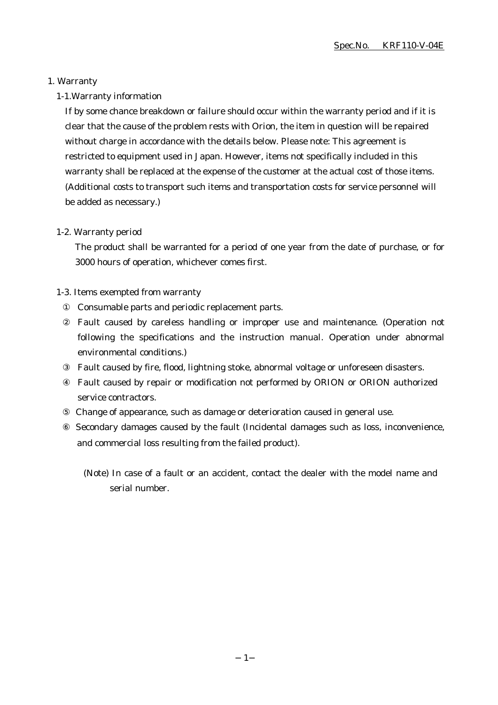#### 1. Warranty

#### 1-1.Warranty information

If by some chance breakdown or failure should occur within the warranty period and if it is clear that the cause of the problem rests with Orion, the item in question will be repaired without charge in accordance with the details below. Please note: This agreement is restricted to equipment used in Japan. However, items not specifically included in this warranty shall be replaced at the expense of the customer at the actual cost of those items. (Additional costs to transport such items and transportation costs for service personnel will be added as necessary.)

#### 1-2. Warranty period

The product shall be warranted for a period of one year from the date of purchase, or for 3000 hours of operation, whichever comes first.

#### 1-3. Items exempted from warranty

Consumable parts and periodic replacement parts.

Fault caused by careless handling or improper use and maintenance. (Operation not following the specifications and the instruction manual. Operation under abnormal environmental conditions.)

Fault caused by fire, flood, lightning stoke, abnormal voltage or unforeseen disasters. Fault caused by repair or modification not performed by ORION or ORION authorized service contractors.

Change of appearance, such as damage or deterioration caused in general use.

 Secondary damages caused by the fault (Incidental damages such as loss, inconvenience, and commercial loss resulting from the failed product).

(Note) In case of a fault or an accident, contact the dealer with the model name and serial number.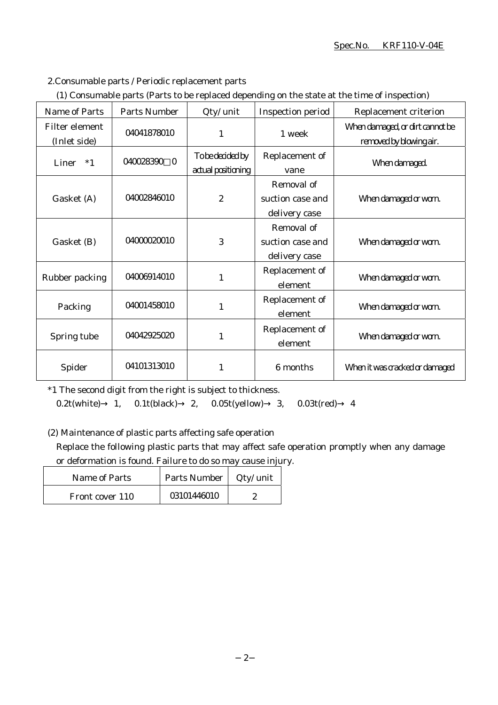#### Spec.No. KRF110-V-04E

#### 2.Consumable parts / Periodic replacement parts

|  | (1) Consumable parts (Parts to be replaced depending on the state at the time of inspection) |  |
|--|----------------------------------------------------------------------------------------------|--|
|  |                                                                                              |  |

| Name of Parts                  | <b>Parts Number</b> | Qty/ unit                              | <b>Inspection period</b>                        | Replacement criterion                                      |
|--------------------------------|---------------------|----------------------------------------|-------------------------------------------------|------------------------------------------------------------|
| Filter element<br>(Inlet side) | 04041878010         | $\mathbf{1}$                           | 1 week                                          | When damaged, or dirt cannot be<br>removed by blowing air. |
| Liner $*1$                     | 040028390 0         | To be decided by<br>actual positioning | Replacement of<br>vane                          | When damaged.                                              |
| Gasket (A)                     | 04002846010         | $\boldsymbol{2}$                       | Removal of<br>suction case and<br>delivery case | When damaged or worn.                                      |
| Gasket (B)                     | 04000020010         | 3                                      | Removal of<br>suction case and<br>delivery case | When damaged or worn.                                      |
| Rubber packing                 | 04006914010         | 1                                      | Replacement of<br>element                       | When damaged or worn.                                      |
| Packing                        | 04001458010         | $\mathbf{1}$                           | Replacement of<br>element                       | When damaged or worn.                                      |
| Spring tube                    | 04042925020         | 1                                      | Replacement of<br>element                       | When damaged or worn.                                      |
| Spider                         | 04101313010         | 1                                      | 6 months                                        | When it was cracked or damaged                             |

\*1 The second digit from the right is subject to thickness.

0.2t(white) 1, 0.1t(black) 2, 0.05t(yellow) 3, 0.03t(red) 4

(2) Maintenance of plastic parts affecting safe operation

Replace the following plastic parts that may affect safe operation promptly when any damage or deformation is found. Failure to do so may cause injury.

| Name of Parts   | Parts Number   Qty/ unit |  |
|-----------------|--------------------------|--|
| Front cover 110 | 03101446010              |  |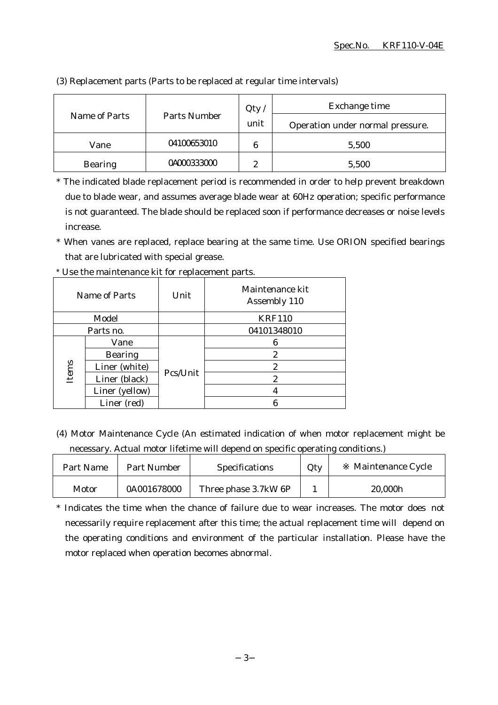|                | Parts Number | Qty  | Exchange time                    |
|----------------|--------------|------|----------------------------------|
| Name of Parts  |              | unit | Operation under normal pressure. |
| Vane           | 04100653010  | 6    | 5,500                            |
| <b>Bearing</b> | 04000333000  | റ    | 5,500                            |

(3) Replacement parts (Parts to be replaced at regular time intervals)

\* The indicated blade replacement period is recommended in order to help prevent breakdown due to blade wear, and assumes average blade wear at 60Hz operation; specific performance is not guaranteed. The blade should be replaced soon if performance decreases or noise levels increase.

\* When vanes are replaced, replace bearing at the same time. Use ORION specified bearings that are lubricated with special grease.

| Name of Parts |                | Unit     | Maintenance kit<br>Assembly 110 |
|---------------|----------------|----------|---------------------------------|
| Model         |                |          | <b>KRF110</b>                   |
|               | Parts no.      |          | 04101348010                     |
|               | Vane           |          | 6                               |
|               | <b>Bearing</b> |          | 2                               |
| Items         | Liner (white)  |          | 2                               |
|               | Liner (black)  | Pcs/Unit | 2                               |
|               | Liner (yellow) |          |                                 |
|               | Liner (red)    |          |                                 |

\* Use the maintenance kit for replacement parts.

(4) Motor Maintenance Cycle (An estimated indication of when motor replacement might be necessary. Actual motor lifetime will depend on specific operating conditions.)

| Part Name | Part Number | <b>Specifications</b> | Qty | Maintenance Cycle |
|-----------|-------------|-----------------------|-----|-------------------|
| Motor     | 0A001678000 | Three phase 3.7kW 6P  |     | 20,000h           |

\* Indicates the time when the chance of failure due to wear increases. The motor does not necessarily require replacement after this time; the actual replacement time will depend on the operating conditions and environment of the particular installation. Please have the motor replaced when operation becomes abnormal.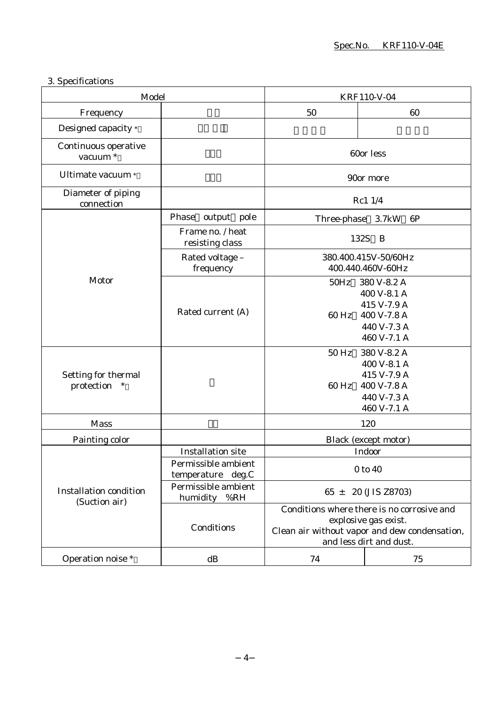## 3. Specifications

| Model                                          |                                          | KRF110-V-04                                                                                                                                    |                                                                                        |
|------------------------------------------------|------------------------------------------|------------------------------------------------------------------------------------------------------------------------------------------------|----------------------------------------------------------------------------------------|
| Frequency                                      |                                          | 50                                                                                                                                             | 60                                                                                     |
| Designed capacity *                            |                                          |                                                                                                                                                |                                                                                        |
| Continuous operative<br>vacuum <sup>*</sup>    |                                          |                                                                                                                                                | 60or less                                                                              |
| Ultimate vacuum *                              |                                          |                                                                                                                                                | 90or more                                                                              |
| Diameter of piping<br>connection               |                                          |                                                                                                                                                | Rc1 1/4                                                                                |
|                                                | Phase<br>output pole                     | Three-phase                                                                                                                                    | 3.7kW<br>6P                                                                            |
|                                                | Frame no. / heat<br>resisting class      | 132S                                                                                                                                           | B                                                                                      |
|                                                | Rated voltage -<br>frequency             |                                                                                                                                                | 380.400.415V-50/60Hz<br>400.440.460V-60Hz                                              |
| Motor                                          | Rated current (A)                        | $50\mathrm{Hz}$<br>60 Hz                                                                                                                       | 380 V-8.2 A<br>400 V-8.1 A<br>415 V-7.9 A<br>400 V-7.8 A<br>440 V-7.3 A<br>460 V-7.1 A |
| Setting for thermal<br>protection<br>$\ast$    |                                          | 50 Hz<br>$60$ Hz                                                                                                                               | 380 V-8.2 A<br>400 V-8.1 A<br>415 V-7.9 A<br>400 V-7.8 A<br>440 V-7.3 A<br>460 V-7.1 A |
| <b>Mass</b>                                    |                                          |                                                                                                                                                | 120                                                                                    |
| Painting color                                 |                                          | Black (except motor)                                                                                                                           |                                                                                        |
|                                                | <b>Installation site</b>                 |                                                                                                                                                | Indoor                                                                                 |
| <b>Installation condition</b><br>(Suction air) | Permissible ambient<br>temperature deg.C | 0 to 40                                                                                                                                        |                                                                                        |
|                                                | Permissible ambient<br>%RH<br>humidity   | $65 \pm 20$ (JIS Z8703)                                                                                                                        |                                                                                        |
|                                                | Conditions                               | Conditions where there is no corrosive and<br>explosive gas exist.<br>Clean air without vapor and dew condensation,<br>and less dirt and dust. |                                                                                        |
| Operation noise *                              | dB                                       | 74                                                                                                                                             | 75                                                                                     |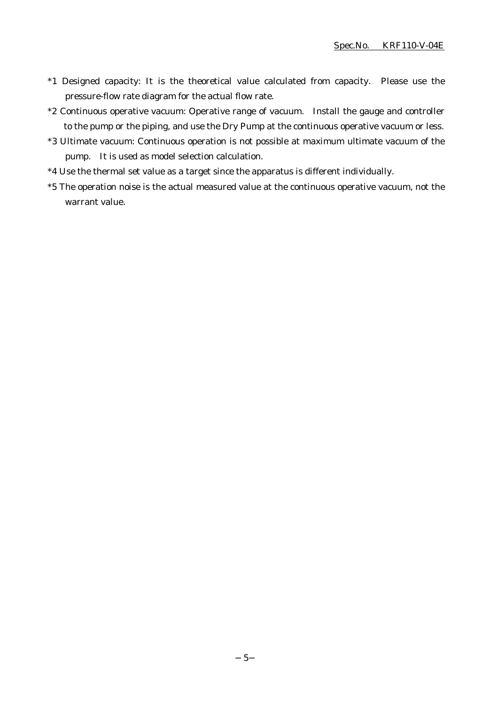- \*1 Designed capacity: It is the theoretical value calculated from capacity. Please use the pressure-flow rate diagram for the actual flow rate.
- \*2 Continuous operative vacuum: Operative range of vacuum. Install the gauge and controller to the pump or the piping, and use the Dry Pump at the continuous operative vacuum or less.
- \*3 Ultimate vacuum: Continuous operation is not possible at maximum ultimate vacuum of the pump. It is used as model selection calculation.
- \*4 Use the thermal set value as a target since the apparatus is different individually.
- \*5 The operation noise is the actual measured value at the continuous operative vacuum, not the warrant value.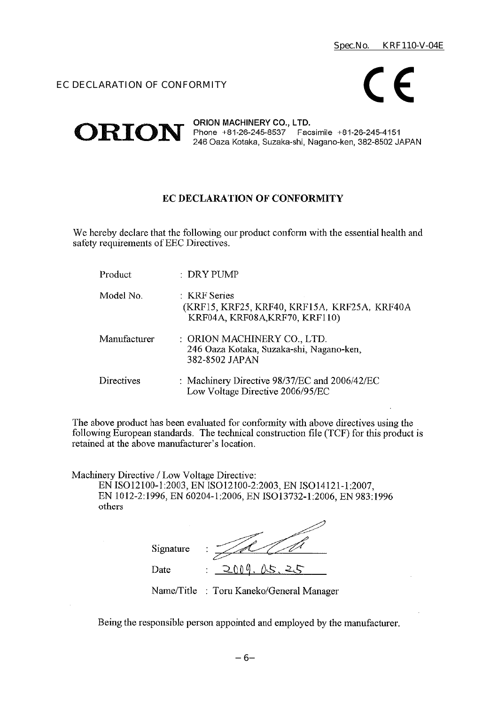#### EC DECLARATION OF CONFORMITY



ORION MACHINERY CO., LTD. **ORION** Phone +81-26-245-8537 Facsimile +81-26-245-4151 246 Oaza Kotaka, Suzaka-shi, Nagano-ken, 382-8502 JAPAN

#### **EC DECLARATION OF CONFORMITY**

We hereby declare that the following our product conform with the essential health and safety requirements of EEC Directives.

| Product      | : DRY PUMP                                                                                     |
|--------------|------------------------------------------------------------------------------------------------|
| Model No.    | : KRF Series<br>(KRF15, KRF25, KRF40, KRF15A, KRF25A, KRF40A<br>KRF04A, KRF08A, KRF70, KRF110) |
| Manufacturer | : ORION MACHINERY CO., LTD.<br>246 Oaza Kotaka, Suzaka-shi, Nagano-ken,<br>382-8502 JAPAN      |
| Directives   | : Machinery Directive 98/37/EC and 2006/42/EC<br>Low Voltage Directive 2006/95/EC              |

The above product has been evaluated for conformity with above directives using the following European standards. The technical construction file (TCF) for this product is retained at the above manufacturer's location.

Machinery Directive / Low Voltage Directive:

EN ISO12100-1:2003, EN ISO12100-2:2003, EN ISO14121-1:2007, EN 1012-2:1996, EN 60204-1:2006, EN ISO13732-1:2006, EN 983:1996 others

| Signature | ٠                     |
|-----------|-----------------------|
| Date      | ついの<br>Λ. Ε<br>٠<br>٠ |

Name/Title : Toru Kaneko/General Manager

Being the responsible person appointed and employed by the manufacturer.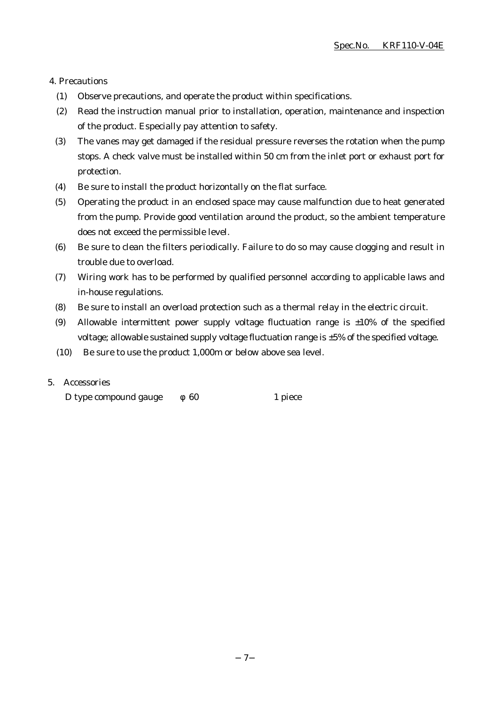#### 4. Precautions

- (1) Observe precautions, and operate the product within specifications.
- (2) Read the instruction manual prior to installation, operation, maintenance and inspection of the product. Especially pay attention to safety.
- (3) The vanes may get damaged if the residual pressure reverses the rotation when the pump stops. A check valve must be installed within 50 cm from the inlet port or exhaust port for protection.
- (4) Be sure to install the product horizontally on the flat surface.
- (5) Operating the product in an enclosed space may cause malfunction due to heat generated from the pump. Provide good ventilation around the product, so the ambient temperature does not exceed the permissible level.
- (6) Be sure to clean the filters periodically. Failure to do so may cause clogging and result in trouble due to overload.
- (7) Wiring work has to be performed by qualified personnel according to applicable laws and in-house regulations.
- (8) Be sure to install an overload protection such as a thermal relay in the electric circuit.
- (9) Allowable intermittent power supply voltage fluctuation range is  $\pm 10\%$  of the specified voltage; allowable sustained supply voltage fluctuation range is ±5% of the specified voltage.
- (10) Be sure to use the product 1,000m or below above sea level.

#### 5. Accessories

D type compound gauge 60 1 piece

7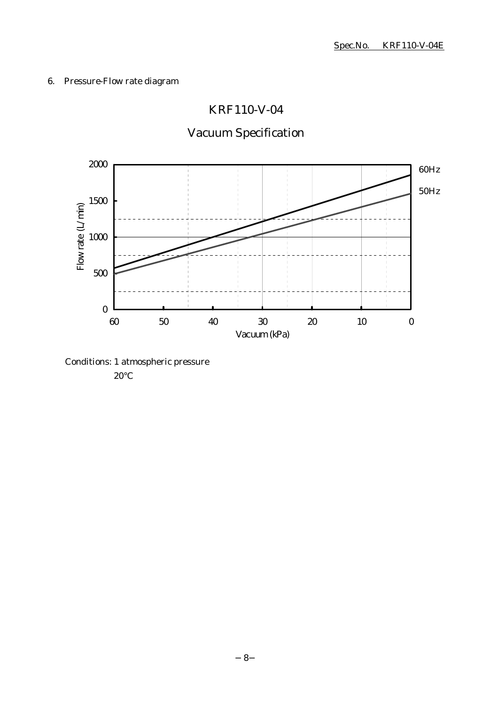## 6. Pressure-Flow rate diagram

## KRF110-V-04

# Vacuum Specification



Conditions: 1 atmospheric pressure

20